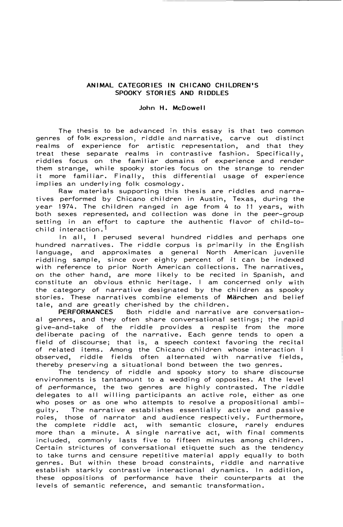## **ANIMAL CATEGORIES IN CHICANO CHILDREN'S SPOOKY STORIES AND RIDDLES**

## **John H. McDowel I**

The thesis to be advanced in this essay is that two common genres of folk expression, riddle and narrative, carve out distinct realms of experience for artistic representation, and that they treat these separate realms in contrastive fashion. Specifically, riddles focus on the familiar domains of experience and render them strange, while spooky stories focus on the strange to render it more familiar. Finally, this differential usage of experience implies an underlying folk cosmology.

Raw materials supporting this thesis are riddles and narratives performed by Chicano children in Austin, Texas, during the year 1974. The children ranged in age from 4 *to* 11 years, with both sexes represented, and collection was done in the peer-group setting in an effort to capture the authentic flavor of child-tochild interaction.1

In all, I perused several hundred riddles and perhaps one hundred narratives. The riddle corpus is primarily in the English language, and approximates a general North American juvenile riddling sample, since over eighty percent of it can be indexed with reference to prior North American collections. The narratives, on the other hand, are more likely to be recited in Spanish, and constitute an obvious ethnic heritage. I am concerned only with the category of narrative designated by the children as spooky stories. These narratives combine elements of **Marchen** and belief tale, and are greatly cherished by the children.<br>PERFORMANCES Both riddle and narrative

Both riddle and narrative are conversational genres, and they often share conversational settings; the rapid give-and-take of the riddle provides a respite from the more deliberate pacing of the narrative. Each genre tends to open a field of discourse; that is, a speech context favoring the recital of related items. Among the Chicano children whose interaction I observed, riddle fields often alternated with narrative fields, thereby preserving a situational bond between the two genres.

The tendency of riddle and spooky story to share discourse environments is tantamount to a wedding of opposites. At the level of performance, the two genres are highly contrasted. The riddle delegates to all willing participants an active role, either as one who poses or as one who attempts to resolve a propositional ambi-<br>guity. The narrative establishes essentially active and passive The narrative establishes essentially active and passive roles, those of narrator and audience respectively. Furthermore, the complete riddle act, with semantic closure, rarely endures more than a minute. A single narrative act, with final comments included, commonly lasts five to fifteen minutes among children. Certain strictures of conversational etiquette such as the tendency to take turns and censure repetitive material apply equally to both genres. But within these broad constraints, riddle and narrative establish starkly contrastive interactional dynamics. In addition, these oppositions of performance have their counterparts at the levels of semantic reference, and semantic transformation.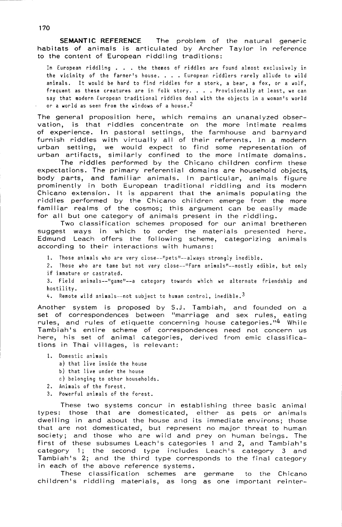SEMANTIC REFERENCE The problem of the natural generic habitats of animals is articulated by Archer Taylor in reference to the content of European riddling traditions:

In European riddling . . . the themes of riddles are found almost exclusively in the vicinity of the farmer's house. . . . European riddlers rarely allude to wild animals. It would be hard to find riddles for a stork, a bear, a fox, or a wolf, frequent as these creatures are in folk story. . . . Provisionally at least, we can sav that modern European traditional riddles deal with the objects in a woman's world or a world as seen from the windows of a house.<sup>2</sup>

The general proposition here, which remains an unanalyzed observation, is that riddles concentrate on the more intimate realms of experience. In pastoral settings, the farmhouse and barnyard furnish riddles with virtually all of their referents. In a modern urban setting, we would expect to find some representation of<br>urban artifacts, similarly confined to the more intimate domains.

The riddles performed by the Chicano children confirm these expectations. The primary referential domains are household objects. body parts, and familiar animals. In particular, animals figure prominently in both European traditional riddling and its modern Chicano extension. It is apparent that the animals populating the riddles performed by the Chicano children emerge from the more familiar realms of the cosmos; this argument can be easily made for all but one category of animals present in the riddling.

Two classification schemes proposed for our animal bretheren suggest ways in which to order the materials presented here. Edmund Leach offers the following scheme, categorizing animals according to their interactions with humans:

1. Those animals who are very close--"pets"--always strongly inedible.

2. Those who are tame but not very close--"farm animals"--mostly edible, but only if immature or castrated.

3. Field animals--"game"--a category towards which we alternate friendship and hostility.

4. Remote wild animals--not subject to human control, inedible.<sup>3</sup>

Another system is proposed by S.J. Tambiah, and founded on a<br>set of correspondences between "marriage and sex rules, eating rules, and rules of etiquette concerning house categories."4 While Tambiah's entire scheme of correspondences need not concern us<br>here, his set of animal categories, derived from emic classifications in Thai villages, is relevant:

- 1. Domestic animals
	- a) that live inside the house
	- b) that live under the house
	- c) belonging to other households.
- 2. Animals of the forest.
- 3. Powerful animals of the forest.

These two systems concur in establishing three basic animal types: those that are domesticated, either as pets or animals dwelling in and about the house and its immediate environs; those that are not domesticated, but represent no major threat to human society; and those who are wild and prey on human beings. The first of these subsumes Leach's categories 1 and 2, and Tambiah's category 1; the second type includes Leach's category 3 and Tambiah's 2; and the third type corresponds to the final category in each of the above reference systems.

These classification schemes are germane to the Chicano children's riddling materials, as long as one important reinter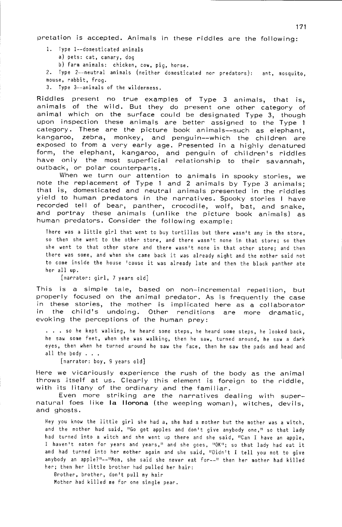pretation is accepted. Animals in these riddles are the following:

- 1. Type 1--domesticated animals a) pets: cat, canary, dog b) farm animals: chicken, cow, pig, horse.
- 
- 2. Type 2--neutral animals (neither domesticated nor predators): ant, mosquito, mouse, rabbit, frog.
- 3. Type 3--animals of the wilderness.

Riddles present no true examples of Type 3 animals, that is, animals of the wild. But they do present one other category of animal which on the surface could be designated Type 3, though upon inspection these animals are better assigned to the Type 1 category. These are the picture book animals--such as elephant, kangaroo, zebra, monkey, and penguin--which the children are exposed to from a very early age. Presented in a highly denatured form, the elephant, kangaroo, and penguin of children's riddles have only the most superficial relationship to their savannah, outback, or polar counterparts.

When we turn our attention to animals in spooky stories, we<br>note the replacement of Type 1 and 2 animals by Type 3 animals; that is, domesticated and neutral animals presented in the riddles yield to human predators in the narratives. Spooky stories I have recorded tell of bear, panther, crocodile, wolf, bat, and snake, and portray these animals (unlike the picture book animals) as human predators. Consider the following example:

There was a little girl that went to buy tortillas but there wasn't any in the store, so then she went to the other store, and there wasn't none in that store; so then she went to that other store and there wasn't none in that other store; and then there was some, and when she came back it was already night and the mother said not to come inside the house 'cause it was already late and then the black panther ate her all up.

[narrator: girl, 7 years old]

This is a simple tale, based on non-incremental repetition, but properly focused on the animal predator. As is frequently the case in these stories, the mother is implicated here as a collaborator in the child's undoing. Other renditions are more dramatic, evoking the perceptions of the human prey:

... so he kept walking, he heard some steps, he heard some steps, he looked back, he saw some feet, when she was walking, then he saw, turned around, he saw a dark eyes, then when he turned around he saw the face, then he saw the pads and head and all the body  $\ldots$ .

[narrator: boy, 9 years old]

Here we vicariously experience the rush of the body as the animal throws itself at us. Clearly this element is foreign to the riddle, with its litany of the ordinary and the familiar.

Even more striking are the narratives dealing with supernatural foes like la llorona (the weeping woman), witches, devils, and ghosts.

Hey you know the little girl she had a, she had a mother but the mother was a witch, and the mother had said, "Go get apples and don't give anybody one," so that lady had turned into a witch and she went up there and she said, "Can I have an apple, I haven't eaten for years and years," and she goes, "OK"; so that lady had eat it and had turned into her mother again and she said, "Didn't I tell you not to give anybody an apple?"--"Mom, she said she never eat for--" then her mother had killed her; then her little brother had pulled her hair:

Brother, brother, don't pull my hair

Mother had killed me for one single pear.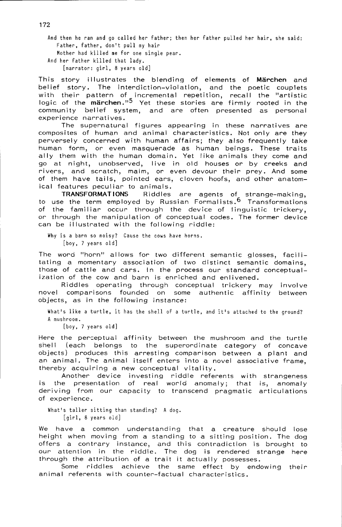And then he ran and go called her father; then her father pulled her hair, she said: Father, father, don't pull my hair

Mother had killed me for one single pear. And her father killed that lady.

[narrator: qirl, 8 years old]

This story illustrates the blending of elements of Märchen and belief story. The interdiction-violation, and the poetic couplets with their pattern of incremental repetition, recall the "artistic<br>logic of the märchen."<sup>5</sup> Yet these stories are firmly rooted in the community belief system, and are often presented as personal experience narratives.

The supernatural figures appearing in these narratives are composites of human and animal characteristics. Not only are they perversely concerned with human affairs; they also frequently take human form, or even masquerade as human beings. These traits ally them with the human domain. Yet like animals they come and go at night, unobserved, live in old houses or by creeks and rivers, and scratch, maim, or even devour their prey. And some of them have tails, pointed ears, cloven hoofs, and other anatomical features peculiar to animals.

**TRANSFORMATIONS** Riddles are agents of strange-making, to use the term employed by Russian Formalists.<sup>6</sup> Transformations of the familiar occur through the device of linguistic trickery, or through the manipulation of conceptual codes. The former device can be illustrated with the following riddle:

Why is a barn so noisy? Cause the cows have horns. [boy, 7 years old]

The word "horn" allows for two different semantic glosses, facilitating a momentary association of two distinct semantic domains, those of cattle and cars. In the process our standard conceptualization of the cow and barn is enriched and enlivened.

Riddles operating through conceptual trickery may involve novel comparisons founded on some authentic affinity between objects, as in the following instance:

What's like a turtle, it has the shell of a turtle, and it's attached to the ground? A mushroom.

[boy, 7 years old]

Here the perceptual affinity between the mushroom and the turtle shell (each belongs to the superordinate category of concave objects) produces this arresting comparison between a plant and an animal. The animal itself enters into a novel associative frame, thereby acquiring a new conceptual vitality.

Another device investing riddle referents with strangeness the presentation of real world anomaly; that is, anomaly is. deriving from our capacity to transcend pragmatic articulations of experience.

What's taller sitting than standing? A dog. [girl, 8 years old]

We have a common understanding that a creature should lose height when moving from a standing to a sitting position. The dog offers a contrary instance, and this contradiction is brought to our attention in the riddle. The dog is rendered strange here through the attribution of a trait it actually possesses.

Some riddles achieve the same effect by endowing their animal referents with counter-factual characteristics.

172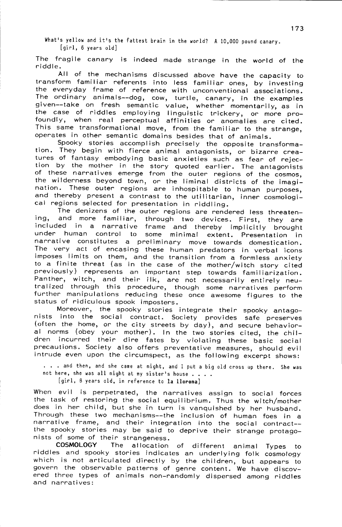What's yellow and it's the fattest brain in the world? A 10,000 pound canary. [girl, 6 years old]

The fragile canary is indeed made strange in the world of the riddle.

All of the mechanisms discussed above have the capacity to transform familiar referents into less familiar ones, by investing the everyday frame of reference with unconventional associations. The ordinary animals--dog, cow, turtle, canary, in the examples given--take on fresh semantic value, whether momentarily, as in<br>the case of riddles employing linguistic trickery, or more profoundly, when real perceptual affinities or anomalies are cited. This same transformational move, from the familiar to the strange, operates in other semantic domains besides that of animals.

Spooky stories accomplish precisely the opposite transformation. They begin with fierce animal antagonists, or bizarre creatures of fantasy embodying basic anxieties such as fear of rejection by the mother in the story quoted earlier. The antagonists of these narratives emerge from the outer regions of the cosmos, the wilderness beyond town, or the liminal districts of the imagination. These outer regions are inhospitable to human purposes, and thereby present a contrast to the utilitarian, inner cosmological regions selected for presentation in riddling.

The denizens of the outer regions are rendered less threatenand more familiar, through two devices. First, they are ina. included in a narrative frame and thereby implicitly brought under human control to some minimal extent. Presentation in narrative constitutes a preliminary move towards domestication. The very act of encasing these human predators in verbal icons imposes limits on them, and the transition from a formless anxiety to a finite threat (as in the case of the mother/witch story cited previously) represents an important step towards familiarization. Panther, witch, and their ilk, are not necessarily entirely neutralized through this procedure, though some narratives perform further manipulations reducing these once awesome figures to the status of ridiculous spook imposters.

Moreover, the spooky stories integrate their spooky antago-<br>nists into the social contract. Society provides safe preserves (often the home, or the city streets by day), and secure behavioral norms (obey your mother). In the two stories cited, the children incurred their dire fates by violating these basic social precautions. Society also offers preventative measures, should evil intrude even upon the circumspect, as the following excerpt shows:

... and then, and she came at night, and I put a big old cross up there. She was not here, she was all night at my sister's house . . . .

[girl, 8 years old, in reference to la llorona]

When evil is perpetrated, the narratives assign to social forces the task of restoring the social equilibrium. Thus the witch/mother does in her child, but she in turn is vanquished by her husband. Through these two mechanisms--the inclusion of human foes in a narrative frame, and their integration into the social contract-the spooky stories may be said to deprive their strange protagonists of some of their strangeness.

**COSMOLOGY** The allocation of different animal Types to riddles and spooky stories indicates an underlying folk cosmology which is not articulated directly by the children, but appears to govern the observable patterns of genre content. We have discovered three types of animals non-randomly dispersed among riddles and narratives: